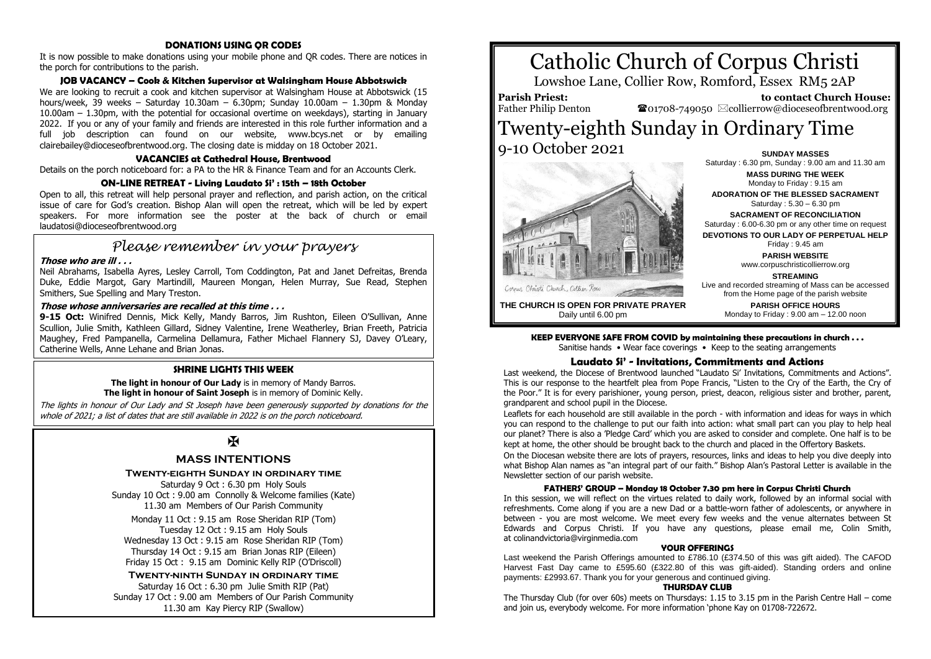#### **DONATIONS USING QR CODES**

It is now possible to make donations using your mobile phone and QR codes. There are notices in the porch for contributions to the parish.

#### **JOB VACANCY – Cook & Kitchen Supervisor at Walsingham House Abbotswick**

We are looking to recruit a cook and kitchen supervisor at Walsingham House at Abbotswick (15 hours/week, 39 weeks – Saturday 10.30am – 6.30pm; Sunday 10.00am – 1.30pm & Monday 10.00am – 1.30pm, with the potential for occasional overtime on weekdays), starting in January 2022. If you or any of your family and friends are interested in this role further information and a full job description can found on our website, www.bcys.net or by emailing clairebailey@dioceseofbrentwood.org. The closing date is midday on 18 October 2021.

#### **VACANCIES at Cathedral House, Brentwood**

Details on the porch noticeboard for: a PA to the HR & Finance Team and for an Accounts Clerk.

#### **ON-LINE RETREAT - Living Laudato Si' : 15th – 18th October**

Open to all, this retreat will help personal prayer and reflection, and parish action, on the critical issue of care for God's creation. Bishop Alan will open the retreat, which will be led by expert speakers. For more information see the poster at the back of church or email laudatosi@dioceseofbrentwood.org

# *Please remember in your prayers*

#### **Those who are ill . . .**

Neil Abrahams, Isabella Ayres, Lesley Carroll, Tom Coddington, Pat and Janet Defreitas, Brenda Duke, Eddie Margot, Gary Martindill, Maureen Mongan, Helen Murray, Sue Read, Stephen Smithers, Sue Spelling and Mary Treston.

## **Those whose anniversaries are recalled at this time . . .**

9-15 Oct: Winifred Dennis, Mick Kelly, Mandy Barros, Jim Rushton, Eileen O'Sullivan, Anne Scullion, Julie Smith, Kathleen Gillard, Sidney Valentine, Irene Weatherley, Brian Freeth, Patricia Maughey, Fred Pampanella, Carmelina Dellamura, Father Michael Flannery SJ, Davey O'Leary, Catherine Wells, Anne Lehane and Brian Jonas.

### **SHRINE LIGHTS THIS WEEK**

#### **The light in honour of Our Lady** is in memory of Mandy Barros. **The light in honour of Saint Joseph** is in memory of Dominic Kelly.

The lights in honour of Our Lady and St Joseph have been generously supported by donations for the whole of 2021; a list of dates that are still available in 2022 is on the porch noticeboard.

# $\overline{\mathbf{R}}$

## **MASS INTENTIONS**

**Twenty-eighth Sunday in ordinary time**

Saturday 9 Oct : 6.30 pm Holy Souls Sunday 10 Oct : 9.00 am Connolly & Welcome families (Kate) 11.30 am Members of Our Parish Community

Monday 11 Oct : 9.15 am Rose Sheridan RIP (Tom) Tuesday 12 Oct : 9.15 am Holy Souls Wednesday 13 Oct : 9.15 am Rose Sheridan RIP (Tom) Thursday 14 Oct : 9.15 am Brian Jonas RIP (Eileen) Friday 15 Oct : 9.15 am Dominic Kelly RIP (O'Driscoll)

**Twenty-ninth Sunday in ordinary time** Saturday 16 Oct : 6.30 pm Julie Smith RIP (Pat) Sunday 17 Oct : 9.00 am Members of Our Parish Community 11.30 am Kay Piercy RIP (Swallow)



Lowshoe Lane, Collier Row, Romford, Essex RM5 2AP

**Parish Priest:** Father Philip Denton

 **to contact Church House:**  $\mathbf{\Omega}_{01708\text{-}749050}$   $\boxtimes$  collierrow@dioceseofbrentwood.org

# Twenty-eighth Sunday in Ordinary Time 9-10 October 2021 **SUNDAY MASSES**



Saturday : 6.30 pm, Sunday : 9.00 am and 11.30 am **MASS DURING THE WEEK** Monday to Friday : 9.15 am **ADORATION OF THE BLESSED SACRAMENT** Saturday : 5.30 – 6.30 pm **SACRAMENT OF RECONCILIATION** Saturday : 6.00-6.30 pm or any other time on request **DEVOTIONS TO OUR LADY OF PERPETUAL HELP** Friday : 9.45 am **PARISH WEBSITE** www.corpuschristicollierrow.org **STREAMING** Live and recorded streaming of Mass can be accessed from the Home page of the parish website **PARISH OFFICE HOURS**

Monday to Friday : 9.00 am – 12.00 noon

**THE CHURCH IS OPEN FOR PRIVATE PRAYER** Daily until 6.00 pm

> **KEEP EVERYONE SAFE FROM COVID by maintaining these precautions in church . . .** Sanitise hands • Wear face coverings • Keep to the seating arrangements

#### **Laudato Si' - Invitations, Commitments and Actions**

Last weekend, the Diocese of Brentwood launched "Laudato Si' Invitations, Commitments and Actions". This is our response to the heartfelt plea from Pope Francis, "Listen to the Cry of the Earth, the Cry of the Poor." It is for every parishioner, young person, priest, deacon, religious sister and brother, parent, grandparent and school pupil in the Diocese.

Leaflets for each household are still available in the porch - with information and ideas for ways in which you can respond to the challenge to put our faith into action: what small part can you play to help heal our planet? There is also a 'Pledge Card' which you are asked to consider and complete. One half is to be kept at home, the other should be brought back to the church and placed in the Offertory Baskets.

On the Diocesan website there are lots of prayers, resources, links and ideas to help you dive deeply into what Bishop Alan names as "an integral part of our faith." Bishop Alan's Pastoral Letter is available in the Newsletter section of our parish website.

#### **FATHERS' GROUP – Monday 18 October 7.30 pm here in Corpus Christi Church**

In this session, we will reflect on the virtues related to daily work, followed by an informal social with refreshments. Come along if you are a new Dad or a battle-worn father of adolescents, or anywhere in between - you are most welcome. We meet every few weeks and the venue alternates between St Edwards and Corpus Christi. If you have any questions, please email me, Colin Smith, at colinandvictoria@virginmedia.com

#### **YOUR OFFERINGS**

Last weekend the Parish Offerings amounted to £786.10 (£374.50 of this was gift aided). The CAFOD Harvest Fast Day came to £595.60 (£322.80 of this was gift-aided). Standing orders and online payments: £2993.67. Thank you for your generous and continued giving.

#### **THURSDAY CLUB**

The Thursday Club (for over 60s) meets on Thursdays: 1.15 to 3.15 pm in the Parish Centre Hall – come and join us, everybody welcome. For more information 'phone Kay on 01708-722672.